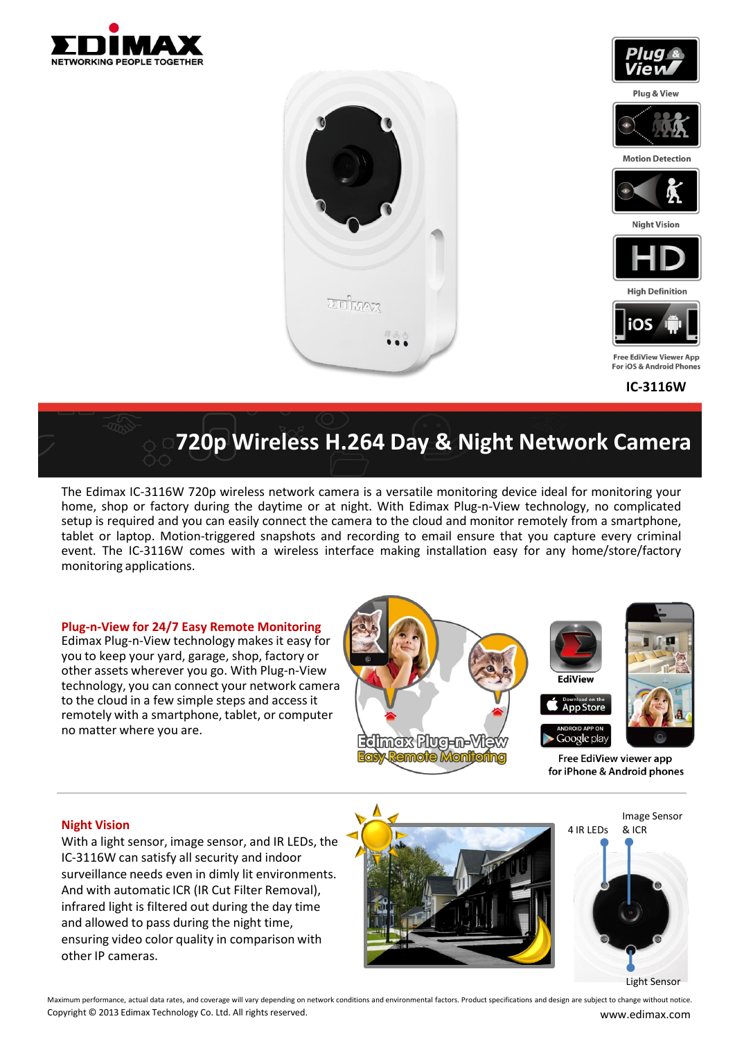



# **720p Wireless H.264 Day & Night Network Camera**

The Edimax IC-3116W 720p wireless network camera is a versatile monitoring device ideal for monitoring your home, shop or factory during the daytime or at night. With Edimax Plug-n-View technology, no complicated setup is required and you can easily connect the camera to the cloud and monitor remotely from a smartphone, tablet or laptop. Motion-triggered snapshots and recording to email ensure that you capture every criminal event. The IC-3116W comes with a wireless interface making installation easy for any home/store/factory monitoring applications.

#### **Plug-n-View for 24/7 Easy Remote Monitoring**

Edimax Plug-n-View technology makes it easy for you to keep your yard, garage, shop, factory or other assets wherever you go. With Plug-n-View technology, you can connect your network camera to the cloud in a few simple steps and access it remotely with a smartphone, tablet, or computer no matter where you are.



#### **Night Vision**

With a light sensor, image sensor, and IR LEDs, the IC-3116W can satisfy all security and indoor surveillance needs even in dimly lit environments. And with automatic ICR (IR Cut Filter Removal), infrared light is filtered out during the day time and allowed to pass during the night time, ensuring video color quality in comparison with other IP cameras.



Light Sensor

Maximum performance, actual data rates, and coverage will vary depending on network conditions and environmental factors. Product specifications and design are subject to change without notice. Copyright © 2013 Edimax Technology Co. Ltd. All rights reserved. www.edimax.com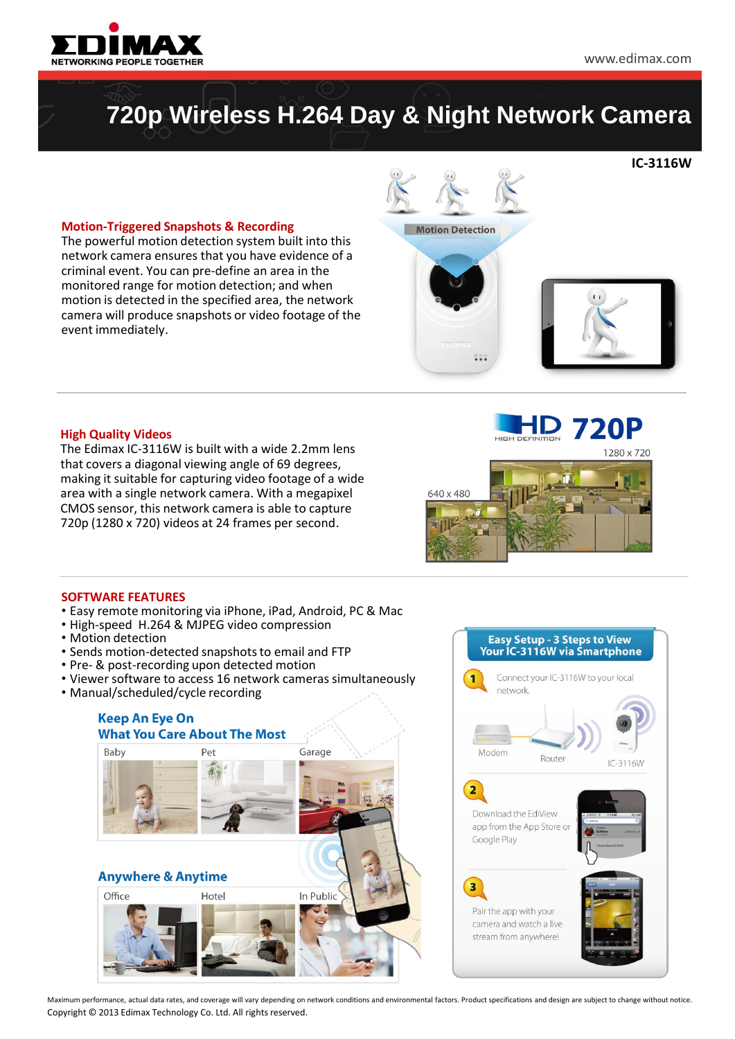

**IC-3116W**

### **720p Wireless H.264 Day & Night Network Camera**

#### **Motion-Triggered Snapshots & Recording**

The powerful motion detection system built into this network camera ensures that you have evidence of a criminal event. You can pre-define an area in the monitored range for motion detection; and when motion is detected in the specified area, the network camera will produce snapshots or video footage of the event immediately.





#### **High Quality Videos**

The Edimax IC-3116W is built with a wide 2.2mm lens that covers a diagonal viewing angle of 69 degrees, making it suitable for capturing video footage of a wide area with a single network camera. With a megapixel CMOS sensor, this network camera is able to capture 720p (1280 x 720) videos at 24 frames per second.



#### **SOFTWARE FEATURES**

- Easy remote monitoring via iPhone, iPad, Android, PC & Mac
- High-speed H.264 & MJPEG video compression
- Motion detection
- Sends motion-detected snapshots to email and FTP
- Pre- & post-recording upon detected motion
- Viewer software to access 16 network cameras simultaneously
- Manual/scheduled/cycle recording





Maximum performance, actual data rates, and coverage will vary depending on network conditions and environmental factors. Product specifications and design are subject to change without notice. Copyright © 2013 Edimax Technology Co. Ltd. All rights reserved.